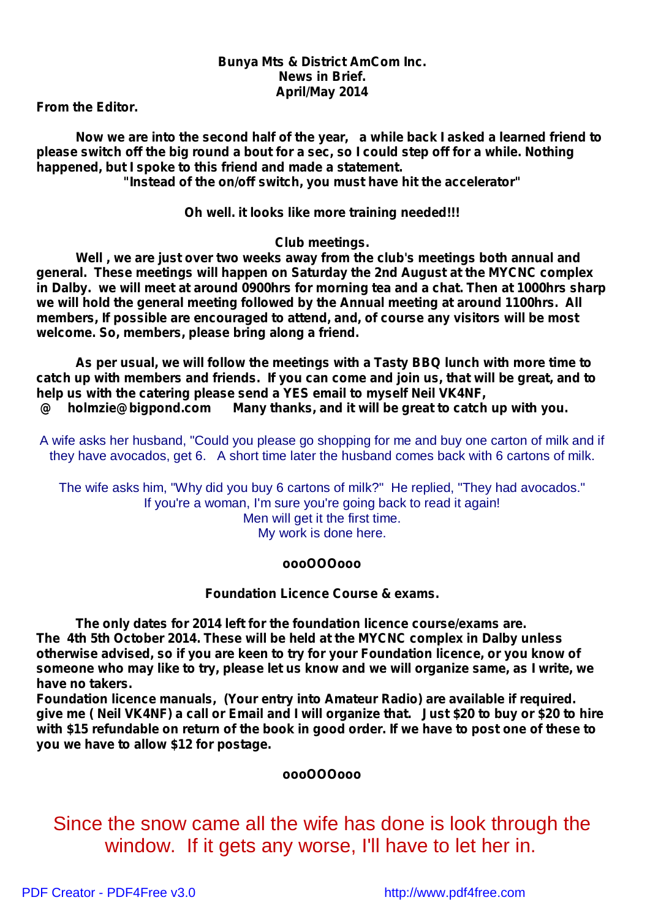### *Bunya Mts & District AmCom Inc. News in Brief. April/May 2014*

*From the Editor.*

*Now we are into the second half of the year, a while back I asked a learned friend to* please switch off the big round a bout for a sec. so I could step off for a while. Nothing *happened, but I spoke to this friend and made a statement. "Instead of the on/off switch, you must have hit the accelerator"*

*Oh well. it looks like more training needed!!!*

*Club meetings.*

*Well , we are just over two weeks away from the club's meetings both annual and general. These meetings will happen on Saturday the 2nd August at the MYCNC complex in Dalby. we will meet at around 0900hrs for morning tea and a chat. Then at 1000hrs sharp we will hold the general meeting followed by the Annual meeting at around 1100hrs. All members, If possible are encouraged to attend, and, of course any visitors will be most welcome. So, members, please bring along a friend.*

*As per usual, we will follow the meetings with a Tasty BBQ lunch with more time to catch up with members and friends. If you can come and join us, that will be great, and to help us with the catering please send a YES email to myself Neil VK4NF, @ holmzie@bigpond.com Many thanks, and it will be great to catch up with you.*

A wife asks her husband, "Could you please go shopping for me and buy one carton of milk and if they have avocados, get 6. A short time later the husband comes back with 6 cartons of milk.

The wife asks him, "Why did you buy 6 cartons of milk?" He replied, "They had avocados." If you're a woman, I'm sure you're going back to read it again! Men will get it the first time. My work is done here.

#### *oooOOOooo*

## *Foundation Licence Course & exams.*

*The only dates for 2014 left for the foundation licence course/exams are. The 4th 5th October 2014. These will be held at the MYCNC complex in Dalby unless otherwise advised, so if you are keen to try for your Foundation licence, or you know of someone who may like to try, please let us know and we will organize same, as I write, we have no takers.*

*Foundation licence manuals, (Your entry into Amateur Radio) are available if required.* give me (Neil VK4NF) a call or Email and I will organize that. Just \$20 to buy or \$20 to hire with \$15 refundable on return of the book in good order. If we have to post one of these to *you we have to allow \$12 for postage.*

#### *oooOOOooo*

Since the snow came all the wife has done is look through the window. If it gets any worse, I'll have to let her in.

[PDF Creator - PDF4Free v3.0 http://www.pdf4free.com](http://www.pdfpdf.com/0.htm)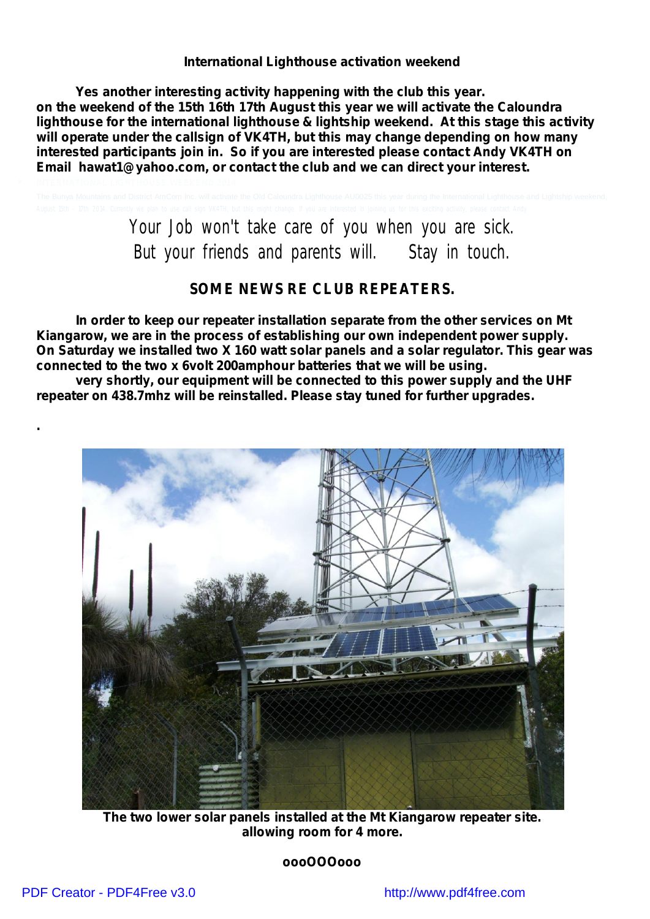#### *International Lighthouse activation weekend*

*Yes another interesting activity happening with the club this year. on the weekend of the 15th 16th 17th August this year we will activate the Caloundra lighthouse for the international lighthouse & lightship weekend. At this stage this activity will operate under the callsign of VK4TH, but this may change depending on how many interested participants join in. So if you are interested please contact Andy VK4TH on Email hawat1@yahoo.com, or contact the club and we can direct your interest.*

> Your Job won't take care of you when you are sick. But your friends and parents will. Stay in touch.

#### **SOME NEWS RE CLUB REPEATERS.**

*In order to keep our repeater installation separate from the other services on Mt Kiangarow, we are in the process of establishing our own independent power supply. On Saturday we installed two X 160 watt solar panels and a solar regulator. This gear was connected to the two x 6volt 200amphour batteries that we will be using.*

*very shortly, our equipment will be connected to this power supply and the UHF repeater on 438.7mhz will be reinstalled. Please stay tuned for further upgrades.*



*The two lower solar panels installed at the Mt Kiangarow repeater site. allowing room for 4 more.*

*oooOOOooo*

*.*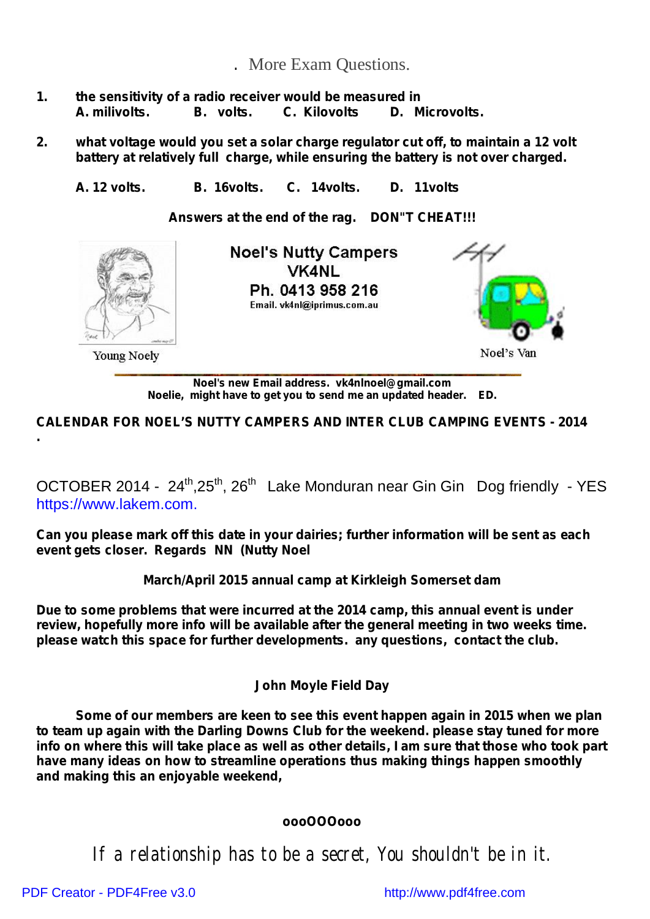# *.* More Exam Questions.

- *1. the sensitivity of a radio receiver would be measured in A. milivolts. B. volts. C. Kilovolts D. Microvolts.*
- *2. what voltage would you set a solar charge regulator cut off, to maintain a 12 volt battery at relatively full charge, while ensuring the battery is not over charged.*

*A. 12 volts. B. 16volts. C. 14volts. D. 11volts*

*Answers at the end of the rag. DON"T CHEAT!!!*



*Noel's new Email address. vk4nlnoel@gmail.com Noelie, might have to get you to send me an updated header. ED.*

**CALENDAR FOR NOEL'S NUTTY CAMPERS AND INTER CLUB CAMPING EVENTS - 2014**

OCTOBER 2014 - 24<sup>th</sup>,25<sup>th</sup>, 26<sup>th</sup> Lake Monduran near Gin Gin Dog friendly - YES https:/[/www.lakem.com.](http://www.lakem.com.)

**Can you please mark off this date in your dairies; further information will be sent as each event gets closer. Regards NN (Nutty Noel**

**March/April 2015 annual camp at Kirkleigh Somerset dam**

**Due to some problems that were incurred at the 2014 camp, this annual event is under review, hopefully more info will be available after the general meeting in two weeks time. please watch this space for further developments. any questions, contact the club.**

# *John Moyle Field Day*

*Some of our members are keen to see this event happen again in 2015 when we plan to team up again with the Darling Downs Club for the weekend. please stay tuned for more* info on where this will take place as well as other details, I am sure that those who took part *have many ideas on how to streamline operations thus making things happen smoothly and making this an enjoyable weekend,*

# *oooOOOooo*

If a relationship has to be a secret, You shouldn't be in it.

[PDF Creator - PDF4Free v3.0 http://www.pdf4free.com](http://www.pdfpdf.com/0.htm)

**.**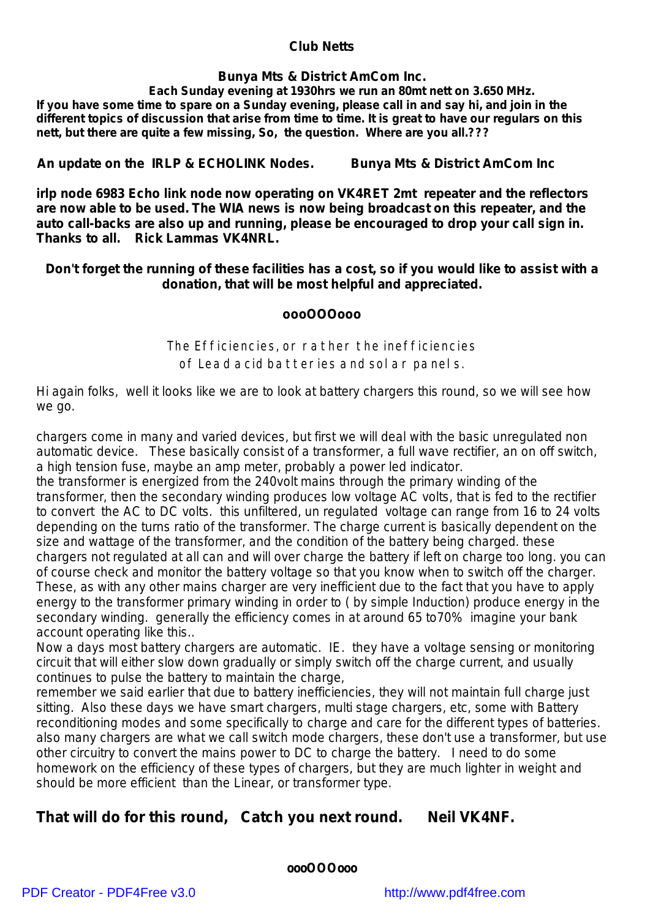#### *Club Netts*

## **Bunya Mts & District AmCom Inc.**

*Each Sunday evening at 1930hrs we run an 80mt nett on 3.650 MHz.* If you have some time to spare on a Sunday evening, please call in and say hi, and join in the different topics of discussion that arise from time to time. It is great to have our regulars on this *nett, but there are quite a few missing, So, the question. Where are you all.???*

*An update on the IRLP & ECHOLINK Nodes. Bunya Mts & District AmCom Inc*

**irlp node 6983 Echo link node now operating on VK4RET 2mt repeater and the reflectors are now able to be used. The WIA news is now being broadcast on this repeater, and the auto call-backs are also up and running, please be encouraged to drop your call sign in. Thanks to all. Rick Lammas VK4NRL.**

## Don't forget the running of these facilities has a cost, so if you would like to assist with a *donation, that will be most helpful and appreciated.*

## *oooOOOooo*

The Efficiencies, or rather the inefficiencies of Lead acid batteries and solar panels.

Hi again folks, well it looks like we are to look at battery chargers this round, so we will see how *we go.*

*chargers come in many and varied devices, but first we will deal with the basic unregulated non automatic device. These basically consist of a transformer, a full wave rectifier, an on off switch, a high tension fuse, maybe an amp meter, probably a power led indicator.*

*the transformer is energized from the 240volt mains through the primary winding of the transformer, then the secondary winding produces low voltage AC volts, that is fed to the rectifier* to convert the AC to DC volts. this unfiltered, un regulated voltage can range from 16 to 24 volts *depending on the turns ratio of the transformer. The charge current is basically dependent on the size and wattage of the transformer, and the condition of the battery being charged. these* chargers not regulated at all can and will over charge the battery if left on charge too long, you can *of course check and monitor the battery voltage so that you know when to switch off the charger.* These, as with any other mains charger are very inefficient due to the fact that you have to apply *energy to the transformer primary winding in order to ( by simple Induction) produce energy in the secondary winding. generally the efficiency comes in at around 65 to70% imagine your bank account operating like this..*

*Now a days most battery chargers are automatic. IE. they have a voltage sensing or monitoring circuit that will either slow down gradually or simply switch off the charge current, and usually continues to pulse the battery to maintain the charge,*

*remember we said earlier that due to battery inefficiencies, they will not maintain full charge just sitting. Also these days we have smart chargers, multi stage chargers, etc, some with Battery reconditioning modes and some specifically to charge and care for the different types of batteries. also many chargers are what we call switch mode chargers, these don't use a transformer, but use other circuitry to convert the mains power to DC to charge the battery. I need to do some homework on the efficiency of these types of chargers, but they are much lighter in weight and should be more efficient than the Linear, or transformer type.*

# *That will do for this round, Catch you next round. Neil VK4NF.*

**oooOOOooo**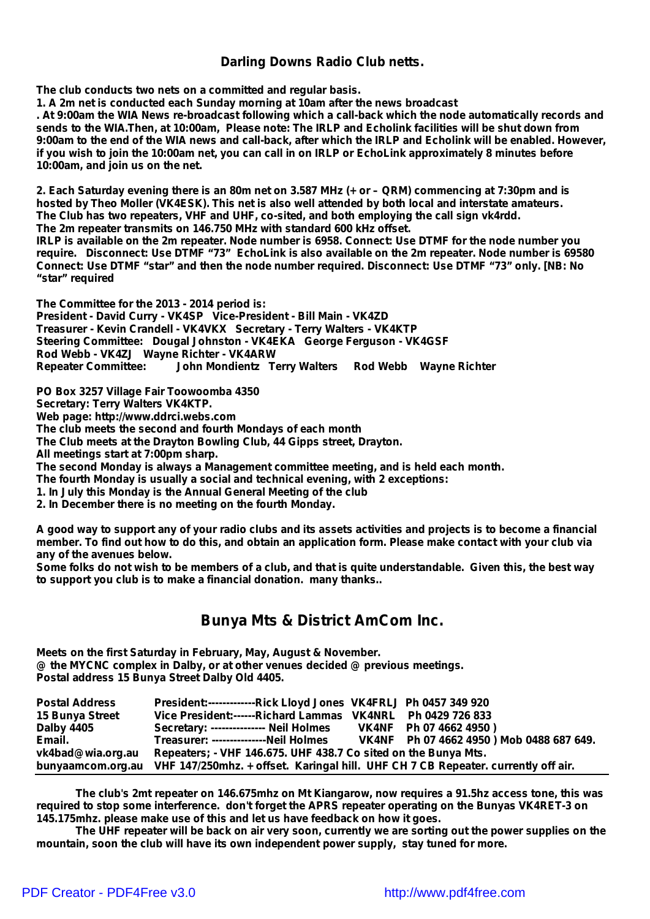#### *Darling Downs Radio Club netts.*

**The club conducts two nets on a committed and regular basis.**

**1. A 2m net is conducted each Sunday morning at 10am after the news broadcast**

. At 9:00am the WIA News re-broadcast following which a call-back which the node automatically records and sends to the WIA. Then, at 10:00am, Please note: The IRLP and Echolink facilities will be shut down from 9:00am to the end of the WIA news and call-back, after which the IRLP and Echolink will be enabled. However, if you wish to join the 10:00am net, you can call in on IRLP or EchoLink approximately 8 minutes before **10:00am, and join us on the net.**

2. Each Saturday evening there is an 80m net on 3.587 MHz (+ or - QRM) commencing at 7:30pm and is **hosted by Theo Moller (VK4ESK). This net is also well attended by both local and interstate amateurs. The Club has two repeaters, VHF and UHF, co-sited, and both employing the call sign vk4rdd. The 2m repeater transmits on 146.750 MHz with standard 600 kHz offset.** IRLP is available on the 2m repeater. Node number is 6958. Connect: Use DTMF for the node number you **require. Disconnect: Use DTMF "73" EchoLink is also available on the 2m repeater. Node number is 69580 Connect: Use DTMF "star" and then the node number required. Disconnect: Use DTMF "73" only. [NB: No "star" required**

**The Committee for the 2013 - 2014 period is: President - David Curry - VK4SP Vice-President - Bill Main - VK4ZD Treasurer - Kevin Crandell - VK4VKX Secretary - Terry Walters - VK4KTP Steering Committee: Dougal Johnston - VK4EKA George Ferguson - VK4GSF Rod Webb - VK4ZJ Wayne Richter - VK4ARW Repeater Committee: John Mondientz Terry Walters Rod Webb Wayne Richter**

**PO Box 3257 Village Fair Toowoomba 4350 Secretary: Terry Walters VK4KTP. Web page: <http://www.ddrci.webs.com> The club meets the second and fourth Mondays of each month The Club meets at the Drayton Bowling Club, 44 Gipps street, Drayton. All meetings start at 7:00pm sharp. The second Monday is always a Management committee meeting, and is held each month. The fourth Monday is usually a social and technical evening, with 2 exceptions: 1. In July this Monday is the Annual General Meeting of the club 2. In December there is no meeting on the fourth Monday.**

A good way to support any of your radio clubs and its assets activities and projects is to become a financial member. To find out how to do this, and obtain an application form. Please make contact with your club via *any of the avenues below.*

Some folks do not wish to be members of a club, and that is quite understandable. Given this, the best way *to support you club is to make a financial donation. many thanks..*

# **Bunya Mts & District AmCom Inc.**

**Meets on the first Saturday in February, May, August & November. @ the MYCNC complex in Dalby, or at other venues decided @ previous meetings. Postal address 15 Bunya Street Dalby Old 4405.**

| <b>Postal Address</b> | President:--------------Rick Lloyd Jones VK4FRLJ Ph 0457 349 920                                    |                                           |
|-----------------------|-----------------------------------------------------------------------------------------------------|-------------------------------------------|
| 15 Bunya Street       | Vice President:------Richard Lammas VK4NRL Ph 0429 726 833                                          |                                           |
| Dalby 4405            | Secretary: --------------- Neil Holmes                                                              | VK4NF Ph 07 4662 4950)                    |
| Email.                | Treasurer: --------------Neil Holmes                                                                | VK4NF Ph 07 4662 4950 ) Mob 0488 687 649. |
| vk4bad@wia.org.au     | Repeaters; - VHF 146.675. UHF 438.7 Co sited on the Bunya Mts.                                      |                                           |
|                       | bunyaamcom.org.au VHF 147/250mhz. + offset. Karingal hill. UHF CH 7 CB Repeater. currently off air. |                                           |

*The club's 2mt repeater on 146.675mhz on Mt Kiangarow, now requires a 91.5hz access tone, this was required to stop some interference. don't forget the APRS repeater operating on the Bunyas VK4RET-3 on 145.175mhz. please make use of this and let us have feedback on how it goes.*

The UHF repeater will be back on air very soon, currently we are sorting out the power supplies on the *mountain, soon the club will have its own independent power supply, stay tuned for more.*